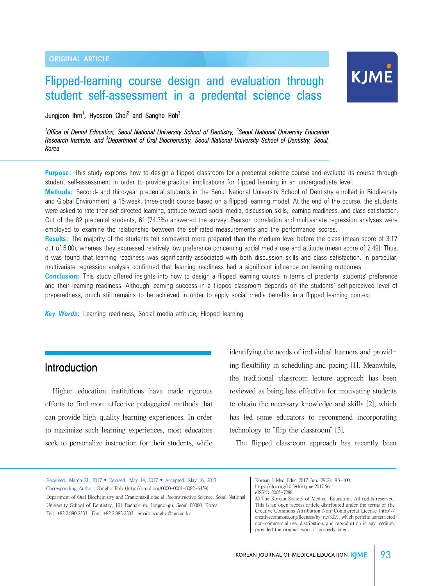# Flipped-learning course design and evaluation through student self-assessment in a predental science class

KJME

Jungjoon Ihm<sup>1</sup>, Hyoseon Choi<sup>2</sup> and Sangho Roh<sup>3</sup>

<sup>1</sup> Office of Dental Education, Seoul National University School of Dentistry, <sup>2</sup> Seoul National University Education *Research Institute, and <sup>3</sup> Department of Oral Biochemistry, Seoul National University School of Dentistry, Seoul, Korea*

**Purpose:** This study explores how to design a flipped classroom for a predental science course and evaluate its course through student self-assessment in order to provide practical implications for flipped learning in an undergraduate level.

**Methods:** Second- and third-year predental students in the Seoul National University School of Dentistry enrolled in Biodiversity and Global Environment, a 15-week, three-credit course based on a flipped learning model. At the end of the course, the students were asked to rate their self-directed learning, attitude toward social media, discussion skills, learning readiness, and class satisfaction. Out of the 82 predental students, 61 (74.3%) answered the survey. Pearson correlation and multivariate regression analyses were employed to examine the relationship between the self-rated measurements and the performance scores.

**Results:** The majority of the students felt somewhat more prepared than the medium level before the class (mean score of 3.17 out of 5.00), whereas they expressed relatively low preference concerning social media use and attitude (mean score of 2.49). Thus, it was found that learning readiness was significantly associated with both discussion skills and class satisfaction. In particular, multivariate regression analysis confirmed that learning readiness had a significant influence on learning outcomes.

**Conclusion:** This study offered insights into how to design a flipped learning course in terms of predental students' preference and their learning readiness. Although learning success in a flipped classroom depends on the students' self-perceived level of preparedness, much still remains to be achieved in order to apply social media benefits in a flipped learning context.

*Key Words***:** Learning readiness, Social media attitude, Flipped learning

# Introduction

Higher education institutions have made rigorous efforts to find more effective pedagogical methods that can provide high-quality learning experiences. In order to maximize such learning experiences, most educators seek to personalize instruction for their students, while

identifying the needs of individual learners and providing flexibility in scheduling and pacing [1]. Meanwhile, the traditional classroom lecture approach has been reviewed as being less effective for motivating students to obtain the necessary knowledge and skills [2], which has led some educators to recommend incorporating technology to "flip the classroom" [3].

The flipped classroom approach has recently been

Received: March 21, 2017 • Revised: May 14, 2017 • Accepted: May 16, 2017 Corresponding Author: Sangho Roh (http://orcid.org/0000-0001-8082-6459) Department of Oral Biochemistry and Craniomaxillofacial Reconstructive Science, Seoul National University School of Dentistry, 101 Daehak-ro, Jongno-gu, Seoul 03080, Korea Tel: +82.2.880.2333 Fax: +82.2.883.2383 email: sangho@snu.ac.kr

Korean J Med Educ 2017 Jun; 29(2): 93-100. https://doi.org/10.3946/kjme.2017.56 eISSN: 2005-7288

Ⓒ The Korean Society of Medical Education. All rights reserved. This is an open-access article distributed under the terms of the Creative Commons Attribution Non-Commercial License (http:// creativecommons.org/licenses/by-nc/3.0/), which permits unrestricted non-commercial use, distribution, and reproduction in any medium, provided the original work is properly cited.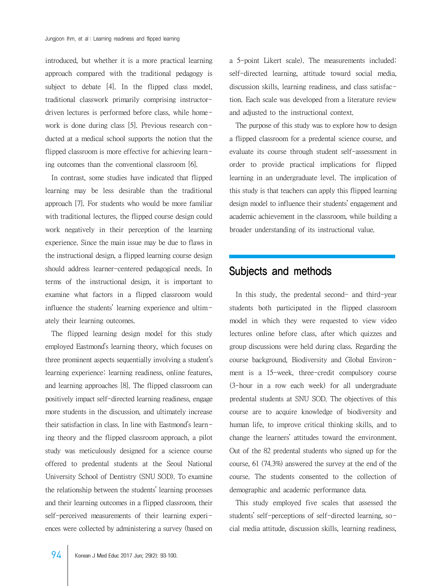introduced, but whether it is a more practical learning approach compared with the traditional pedagogy is subject to debate [4]. In the flipped class model, traditional classwork primarily comprising instructordriven lectures is performed before class, while homework is done during class [5]. Previous research conducted at a medical school supports the notion that the flipped classroom is more effective for achieving learning outcomes than the conventional classroom [6].

 In contrast, some studies have indicated that flipped learning may be less desirable than the traditional approach [7]. For students who would be more familiar with traditional lectures, the flipped course design could work negatively in their perception of the learning experience. Since the main issue may be due to flaws in the instructional design, a flipped learning course design should address learner-centered pedagogical needs. In terms of the instructional design, it is important to examine what factors in a flipped classroom would influence the students' learning experience and ultimately their learning outcomes.

 The flipped learning design model for this study employed Eastmond's learning theory, which focuses on three prominent aspects sequentially involving a student's learning experience: learning readiness, online features, and learning approaches [8]. The flipped classroom can positively impact self-directed learning readiness, engage more students in the discussion, and ultimately increase their satisfaction in class. In line with Eastmond's learning theory and the flipped classroom approach, a pilot study was meticulously designed for a science course offered to predental students at the Seoul National University School of Dentistry (SNU SOD). To examine the relationship between the students' learning processes and their learning outcomes in a flipped classroom, their self-perceived measurements of their learning experiences were collected by administering a survey (based on

a 5-point Likert scale). The measurements included: self-directed learning, attitude toward social media, discussion skills, learning readiness, and class satisfaction. Each scale was developed from a literature review and adjusted to the instructional context.

 The purpose of this study was to explore how to design a flipped classroom for a predental science course, and evaluate its course through student self-assessment in order to provide practical implications for flipped learning in an undergraduate level. The implication of this study is that teachers can apply this flipped learning design model to influence their students' engagement and academic achievement in the classroom, while building a broader understanding of its instructional value.

### Subjects and methods

 In this study, the predental second- and third-year students both participated in the flipped classroom model in which they were requested to view video lectures online before class, after which quizzes and group discussions were held during class. Regarding the course background, Biodiversity and Global Environment is a 15-week, three-credit compulsory course (3-hour in a row each week) for all undergraduate predental students at SNU SOD. The objectives of this course are to acquire knowledge of biodiversity and human life, to improve critical thinking skills, and to change the learners' attitudes toward the environment. Out of the 82 predental students who signed up for the course, 61 (74.3%) answered the survey at the end of the course. The students consented to the collection of demographic and academic performance data.

 This study employed five scales that assessed the students' self-perceptions of self-directed learning, social media attitude, discussion skills, learning readiness,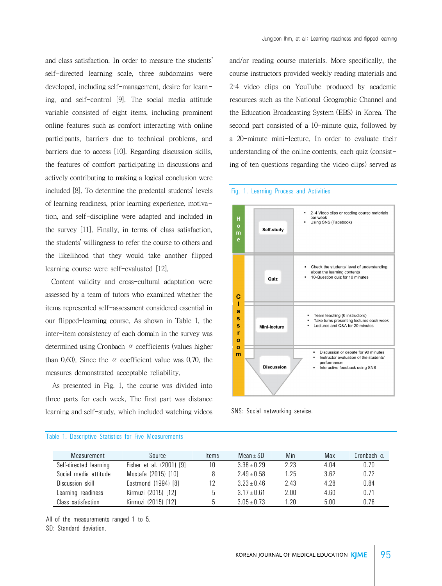and class satisfaction. In order to measure the students' self-directed learning scale, three subdomains were developed, including self-management, desire for learning, and self-control [9]. The social media attitude variable consisted of eight items, including prominent online features such as comfort interacting with online participants, barriers due to technical problems, and barriers due to access [10]. Regarding discussion skills, the features of comfort participating in discussions and actively contributing to making a logical conclusion were included [8]. To determine the predental students' levels of learning readiness, prior learning experience, motivation, and self-discipline were adapted and included in the survey [11]. Finally, in terms of class satisfaction, the students' willingness to refer the course to others and the likelihood that they would take another flipped learning course were self-evaluated [12].

 Content validity and cross-cultural adaptation were assessed by a team of tutors who examined whether the items represented self-assessment considered essential in our flipped-learning course. As shown in Table 1, the inter-item consistency of each domain in the survey was determined using Cronbach  $\alpha$  coefficients (values higher than 0.60). Since the  $\alpha$  coefficient value was 0.70, the measures demonstrated acceptable reliability.

 As presented in Fig. 1, the course was divided into three parts for each week. The first part was distance learning and self-study, which included watching videos and/or reading course materials. More specifically, the course instructors provided weekly reading materials and 2–4 video clips on YouTube produced by academic resources such as the National Geographic Channel and the Education Broadcasting System (EBS) in Korea. The second part consisted of a 10-minute quiz, followed by a 20-minute mini-lecture. In order to evaluate their understanding of the online contents, each quiz (consisting of ten questions regarding the video clips) served as

#### Fig. 1. Learning Process and Activities



SNS: Social networking service.

| Measurement            | Source                   | <b>Items</b> | Mean $\pm$ SD   | Min  | Max  | Cronbach $\alpha$ |
|------------------------|--------------------------|--------------|-----------------|------|------|-------------------|
| Self-directed learning | Fisher et al. (2001) [9] | 10           | $3.38 \pm 0.29$ | 2.23 | 4.04 | 0.70              |
| Social media attitude  | Mostafa (2015) [10]      | 8            | $2.49 \pm 0.58$ | 1.25 | 3.62 | 0.72              |
| Discussion skill       | Eastmond (1994) [8]      | 12           | $3.23 \pm 0.46$ | 2.43 | 4.28 | 0.84              |
| Learning readiness     | Kirmuzi (2015) [12]      | b            | $3.17 \pm 0.61$ | 2.00 | 4.60 | 0.71              |
| Class satisfaction     | Kirmuzi (2015) [12]      | 5            | $3.05 \pm 0.73$ | 1 2በ | 5.00 | 0.78              |

#### Table 1. Descriptive Statistics for Five Measurements

All of the measurements ranged 1 to 5.

SD: Standard deviation.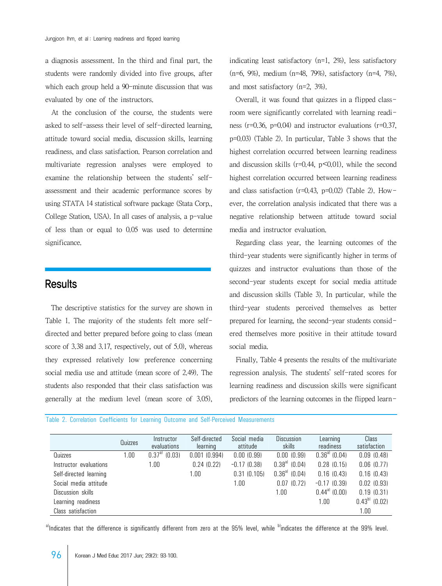a diagnosis assessment. In the third and final part, the students were randomly divided into five groups, after which each group held a 90-minute discussion that was evaluated by one of the instructors.

 At the conclusion of the course, the students were asked to self-assess their level of self-directed learning, attitude toward social media, discussion skills, learning readiness, and class satisfaction. Pearson correlation and multivariate regression analyses were employed to examine the relationship between the students' selfassessment and their academic performance scores by using STATA 14 statistical software package (Stata Corp., College Station, USA). In all cases of analysis, a p-value of less than or equal to 0.05 was used to determine significance.

### **Results**

 The descriptive statistics for the survey are shown in Table 1. The majority of the students felt more selfdirected and better prepared before going to class (mean score of 3.38 and 3.17, respectively, out of 5.0), whereas they expressed relatively low preference concerning social media use and attitude (mean score of 2.49). The students also responded that their class satisfaction was generally at the medium level (mean score of 3.05),

indicating least satisfactory (n=1, 2%), less satisfactory (n=6, 9%), medium (n=48, 79%), satisfactory (n=4, 7%), and most satisfactory (n=2, 3%).

 Overall, it was found that quizzes in a flipped classroom were significantly correlated with learning readiness (r=0.36, p=0.04) and instructor evaluations (r=0.37, p=0.03) (Table 2). In particular, Table 3 shows that the highest correlation occurred between learning readiness and discussion skills ( $r=0.44$ ,  $p<0.01$ ), while the second highest correlation occurred between learning readiness and class satisfaction ( $r=0.43$ ,  $p=0.02$ ) (Table 2). However, the correlation analysis indicated that there was a negative relationship between attitude toward social media and instructor evaluation.

 Regarding class year, the learning outcomes of the third-year students were significantly higher in terms of quizzes and instructor evaluations than those of the second-year students except for social media attitude and discussion skills (Table 3). In particular, while the third-year students perceived themselves as better prepared for learning, the second-year students considered themselves more positive in their attitude toward social media.

 Finally, Table 4 presents the results of the multivariate regression analysis. The students' self-rated scores for learning readiness and discussion skills were significant predictors of the learning outcomes in the flipped learn-

Table 2. Correlation Coefficients for Learning Outcome and Self-Perceived Measurements

|                        | Quizzes | Instructor<br>evaluations | Self-directed<br>learning | Social media<br>attitude | Discussion<br>skills | Learning<br>readiness    | Class<br>satisfaction |
|------------------------|---------|---------------------------|---------------------------|--------------------------|----------------------|--------------------------|-----------------------|
| Quizzes                | 1.00    | $9.37a^{1}$<br>(0.03)     | 0.001(0.994)              | 0.00(0.99)               | 0.00(0.99)           | $0.36^{a}$ (0.04)        | 0.09(0.48)            |
| Instructor evaluations |         | 1.00                      | 0.24(0.22)                | $-0.17(0.38)$            | $0.38^{a}$ (0.04)    | $0.28$ $(0.15)$          | 0.06(0.77)            |
| Self-directed learning |         |                           | 1.00                      | 0.31(0.105)              | $0.36^{a}$ (0.04)    | 0.16(0.43)               | 0.16(0.43)            |
| Social media attitude  |         |                           |                           | 1.00                     | (0.72)<br>0.07       | $-0.17(0.39)$            | $0.02$ $(0.93)$       |
| Discussion skills      |         |                           |                           |                          | 1.00                 | $0.44^{\text{a}}$ (0.00) | 0.19(0.31)            |
| Learning readiness     |         |                           |                           |                          |                      | 1.00                     | $0.43^{b}$ (0.02)     |
| Class satisfaction     |         |                           |                           |                          |                      |                          | 1.00                  |

a)Indicates that the difference is significantly different from zero at the 95% level, while bindicates the difference at the 99% level.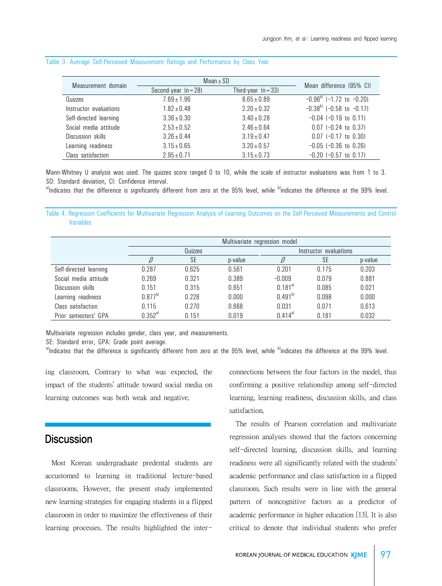| Measurement domain     | $Mean \pm SD$                                   | Mean difference (95% CI) |                                     |  |
|------------------------|-------------------------------------------------|--------------------------|-------------------------------------|--|
|                        | Third-year $(n = 33)$<br>Second-year $(n = 28)$ |                          |                                     |  |
| Quizzes                | $7.69 \pm 1.96$                                 | $8.65 \pm 0.89$          | $-0.96^{\circ}$ (-1.72 to $-0.20$ ) |  |
| Instructor evaluations | $1.82 \pm 0.48$                                 | $2.20 \pm 0.32$          | $-0.38^{b}$ (-0.58 to -0.17)        |  |
| Self-directed learning | $3.36 \pm 0.30$                                 | $3.40 \pm 0.28$          | $-0.04$ $(-0.19$ to $0.11)$         |  |
| Social media attitude  | $2.53 \pm 0.52$                                 | $2.46 \pm 0.64$          | $0.07$ (-0.24 to 0.37)              |  |
| Discussion skills      | $3.26 \pm 0.44$                                 | $3.19 \pm 0.47$          | $0.07$ (-0.17 to 0.30)              |  |
| Learning readiness     | $3.15 \pm 0.65$                                 | $3.20 \pm 0.57$          | $-0.05$ $(-0.36$ to $0.26)$         |  |
| Class satisfaction     | $2.95 \pm 0.71$                                 | $3.15 \pm 0.73$          | $-0.20$ ( $-0.57$ to $0.17$ )       |  |

#### Table 3. Average Self-Perceived Measurement Ratings and Performance by Class Year

Mann-Whitney U analysis was used. The quizzes score ranged 0 to 10, while the scale of instructor evaluations was from 1 to 3. SD: Standard deviation, CI: Confidence interval.

a)Indicates that the difference is significantly different from zero at the 95% level, while <sup>b</sup>indicates the difference at the 99% level.

Table 4. Regression Coefficients for Multivariate Regression Analysis of Learning Outcomes on the Self-Perceived Measurements and Control Variables

|                        | Multivariate regression model |       |         |                        |       |         |  |
|------------------------|-------------------------------|-------|---------|------------------------|-------|---------|--|
|                        | Quizzes                       |       |         | Instructor evaluations |       |         |  |
|                        |                               | SE    | p-value |                        | SE    | p-value |  |
| Self-directed learning | 0.287                         | 0.625 | 0.561   | 0.201                  | 0.175 | 0.203   |  |
| Social media attitude  | 0.269                         | 0.321 | 0.389   | $-0.009$               | 0.079 | 0.881   |  |
| Discussion skills      | 0.151                         | 0.315 | 0.651   | $0.181^{a}$            | 0.085 | 0.021   |  |
| Learning readiness     | $0.877^{b}$                   | 0.228 | 0.000   | $0.491^{b}$            | 0.098 | 0.000   |  |
| Class satisfaction     | 0.115                         | 0.270 | 0.668   | 0.031                  | 0.071 | 0.613   |  |
| Prior semesters' GPA   | $0.352^\text{aI}$             | 0.151 | 0.019   | $0.414^{a}$            | 0.181 | 0.032   |  |

Multivariate regression includes gender, class year, and measurements.

SE: Standard error, GPA: Grade point average.

a)Indicates that the difference is significantly different from zero at the 95% level, while <sup>b)</sup>indicates the difference at the 99% level.

ing classroom. Contrary to what was expected, the impact of the students' attitude toward social media on learning outcomes was both weak and negative.

## **Discussion**

 Most Korean undergraduate predental students are accustomed to learning in traditional lecture-based classrooms. However, the present study implemented new learning strategies for engaging students in a flipped classroom in order to maximize the effectiveness of their learning processes. The results highlighted the interconnections between the four factors in the model, thus confirming a positive relationship among self-directed learning, learning readiness, discussion skills, and class satisfaction.

 The results of Pearson correlation and multivariate regression analyses showed that the factors concerning self-directed learning, discussion skills, and learning readiness were all significantly related with the students' academic performance and class satisfaction in a flipped classroom. Such results were in line with the general pattern of noncognitive factors as a predictor of academic performance in higher education [13]. It is also critical to denote that individual students who prefer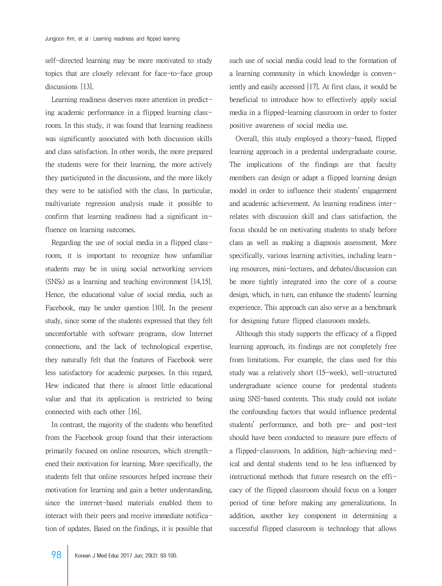self-directed learning may be more motivated to study topics that are closely relevant for face-to-face group discussions [13].

 Learning readiness deserves more attention in predicting academic performance in a flipped learning classroom. In this study, it was found that learning readiness was significantly associated with both discussion skills and class satisfaction. In other words, the more prepared the students were for their learning, the more actively they participated in the discussions, and the more likely they were to be satisfied with the class. In particular, multivariate regression analysis made it possible to confirm that learning readiness had a significant influence on learning outcomes.

 Regarding the use of social media in a flipped classroom, it is important to recognize how unfamiliar students may be in using social networking services (SNSs) as a learning and teaching environment [14,15]. Hence, the educational value of social media, such as Facebook, may be under question [10]. In the present study, since some of the students expressed that they felt uncomfortable with software programs, slow Internet connections, and the lack of technological expertise, they naturally felt that the features of Facebook were less satisfactory for academic purposes. In this regard, Hew indicated that there is almost little educational value and that its application is restricted to being connected with each other [16].

 In contrast, the majority of the students who benefited from the Facebook group found that their interactions primarily focused on online resources, which strengthened their motivation for learning. More specifically, the students felt that online resources helped increase their motivation for learning and gain a better understanding, since the internet-based materials enabled them to interact with their peers and receive immediate notification of updates. Based on the findings, it is possible that such use of social media could lead to the formation of a learning community in which knowledge is conveniently and easily accessed [17]. At first class, it would be beneficial to introduce how to effectively apply social media in a flipped-learning classroom in order to foster positive awareness of social media use.

 Overall, this study employed a theory-based, flipped learning approach in a predental undergraduate course. The implications of the findings are that faculty members can design or adapt a flipped learning design model in order to influence their students' engagement and academic achievement. As learning readiness interrelates with discussion skill and class satisfaction, the focus should be on motivating students to study before class as well as making a diagnosis assessment. More specifically, various learning activities, including learning resources, mini-lectures, and debates/discussion can be more tightly integrated into the core of a course design, which, in turn, can enhance the students' learning experience. This approach can also serve as a benchmark for designing future flipped classroom models.

 Although this study supports the efficacy of a flipped learning approach, its findings are not completely free from limitations. For example, the class used for this study was a relatively short (15-week), well-structured undergraduate science course for predental students using SNS-based contents. This study could not isolate the confounding factors that would influence predental students' performance, and both pre- and post-test should have been conducted to measure pure effects of a flipped-classroom. In addition, high-achieving medical and dental students tend to be less influenced by instructional methods that future research on the efficacy of the flipped classroom should focus on a longer period of time before making any generalizations. In addition, another key component in determining a successful flipped classroom is technology that allows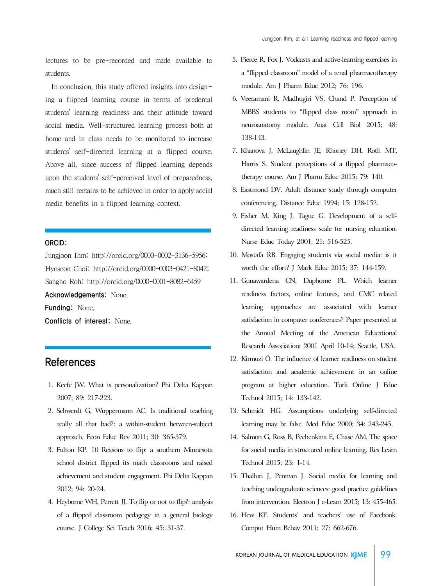lectures to be pre-recorded and made available to students.

 In conclusion, this study offered insights into designing a flipped learning course in terms of predental students' learning readiness and their attitude toward social media. Well-structured learning process both at home and in class needs to be monitored to increase students' self-directed learning at a flipped course. Above all, since success of flipped learning depends upon the students' self-perceived level of preparedness, much still remains to be achieved in order to apply social media benefits in a flipped learning context.

### ORCID:

Jungjoon Ihm: http://orcid.org/0000-0002-3136-5956; Hyoseon Choi: http://orcid.org/0000-0003-0421-8042; Sangho Roh: http://orcid.org/0000-0001-8082-6459 Acknowledgements: None.

Funding: None. Conflicts of interest: None.

### References

- 1. Keefe JW. What is personalization? Phi Delta Kappan 2007; 89: 217-223.
- 2. Schwerdt G, Wuppermann AC. Is traditional teaching really all that bad?: a within-student between-subject approach. Econ Educ Rev 2011; 30: 365-379.
- 3. Fulton KP. 10 Reasons to flip: a southern Minnesota school district flipped its math classrooms and raised achievement and student engagement. Phi Delta Kappan 2012; 94: 20-24.
- 4. Heyborne WH, Perrett JJ. To flip or not to flip?: analysis of a flipped classroom pedagogy in a general biology course. J College Sci Teach 2016; 45: 31-37.
- 5. Pierce R, Fox J. Vodcasts and active-learning exercises in a "flipped classroom" model of a renal pharmacotherapy module. Am J Pharm Educ 2012; 76: 196.
- 6. Veeramani R, Madhugiri VS, Chand P. Perception of MBBS students to "flipped class room" approach in neuroanatomy module. Anat Cell Biol 2015; 48: 138-143.
- 7. Khanova J, McLaughlin JE, Rhoney DH, Roth MT, Harris S. Student perceptions of a flipped pharmacotherapy course. Am J Pharm Educ 2015; 79: 140.
- 8. Eastmond DV. Adult distance study through computer conferencing. Distance Educ 1994; 15: 128-152.
- 9. Fisher M, King J, Tague G. Development of a selfdirected learning readiness scale for nursing education. Nurse Educ Today 2001; 21: 516-525.
- 10. Mostafa RB. Engaging students via social media: is it worth the effort? J Mark Educ 2015; 37: 144-159.
- 11. Gunawardena CN, Duphorne PL. Which learner readiness factors, online features, and CMC related learning approaches are associated with learner satisfaction in computer conferences? Paper presented at the Annual Meeting of the American Educational Research Association; 2001 April 10-14; Seattle, USA.
- 12. Kirmuzi Ö. The influence of learner readiness on student satisfaction and academic achievement in an online program at higher education. Turk Online J Educ Technol 2015; 14: 133-142.
- 13. Schmidt HG. Assumptions underlying self-directed learning may be false. Med Educ 2000; 34: 243-245.
- 14. Salmon G, Ross B, Pechenkina E, Chase AM. The space for social media in structured online learning. Res Learn Technol 2015; 23: 1-14.
- 15. Thalluri J, Penman J. Social media for learning and teaching undergraduate sciences: good practice guidelines from intervention. Electron J e-Learn 2015; 13: 455-465.
- 16. Hew KF. Students' and teachers' use of Facebook. Comput Hum Behav 2011; 27: 662-676.